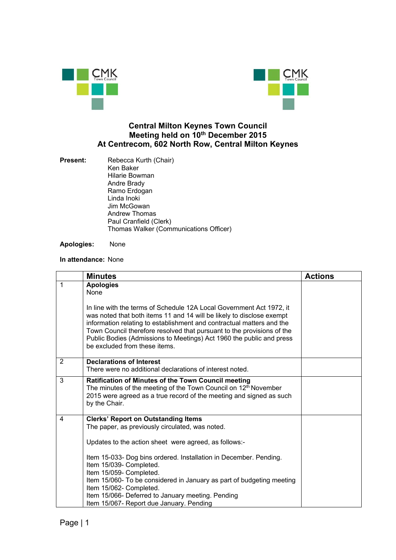



## **Central Milton Keynes Town Council Meeting held on 10th December 2015 At Centrecom, 602 North Row, Central Milton Keynes**

**Present:** Rebecca Kurth (Chair) Ken Baker Hilarie Bowman Andre Brady Ramo Erdogan Linda Inoki Jim McGowan Andrew Thomas Paul Cranfield (Clerk) Thomas Walker (Communications Officer)

**Apologies:** None

## **In attendance:** None

|              | <b>Minutes</b>                                                                                                                                                                                                                                                                                                                                                                                            | <b>Actions</b> |
|--------------|-----------------------------------------------------------------------------------------------------------------------------------------------------------------------------------------------------------------------------------------------------------------------------------------------------------------------------------------------------------------------------------------------------------|----------------|
| $\mathbf{1}$ | <b>Apologies</b><br>None                                                                                                                                                                                                                                                                                                                                                                                  |                |
|              | In line with the terms of Schedule 12A Local Government Act 1972, it<br>was noted that both items 11 and 14 will be likely to disclose exempt<br>information relating to establishment and contractual matters and the<br>Town Council therefore resolved that pursuant to the provisions of the<br>Public Bodies (Admissions to Meetings) Act 1960 the public and press<br>be excluded from these items. |                |
| 2            | <b>Declarations of Interest</b><br>There were no additional declarations of interest noted.                                                                                                                                                                                                                                                                                                               |                |
| 3            | Ratification of Minutes of the Town Council meeting<br>The minutes of the meeting of the Town Council on 12 <sup>th</sup> November<br>2015 were agreed as a true record of the meeting and signed as such<br>by the Chair.                                                                                                                                                                                |                |
| 4            | <b>Clerks' Report on Outstanding Items</b><br>The paper, as previously circulated, was noted.                                                                                                                                                                                                                                                                                                             |                |
|              | Updates to the action sheet were agreed, as follows:-                                                                                                                                                                                                                                                                                                                                                     |                |
|              | Item 15-033- Dog bins ordered. Installation in December. Pending.<br>Item 15/039- Completed.<br>Item 15/059- Completed.                                                                                                                                                                                                                                                                                   |                |
|              | Item 15/060- To be considered in January as part of budgeting meeting<br>Item 15/062- Completed.<br>Item 15/066- Deferred to January meeting. Pending                                                                                                                                                                                                                                                     |                |
|              | Item 15/067- Report due January. Pending                                                                                                                                                                                                                                                                                                                                                                  |                |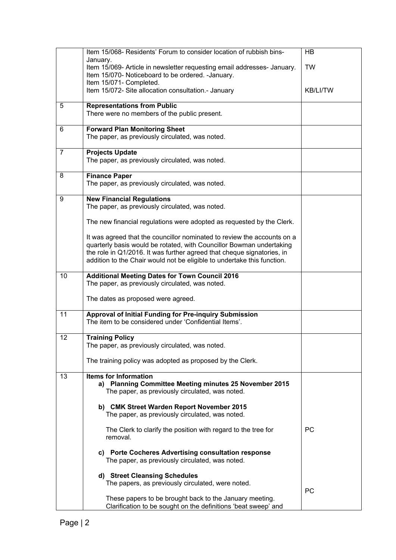|                | Item 15/068- Residents' Forum to consider location of rubbish bins-                                                                                                                                                                                                                                  | <b>HB</b>       |
|----------------|------------------------------------------------------------------------------------------------------------------------------------------------------------------------------------------------------------------------------------------------------------------------------------------------------|-----------------|
|                | January.<br>Item 15/069- Article in newsletter requesting email addresses- January.<br>Item 15/070- Noticeboard to be ordered. - January.                                                                                                                                                            | <b>TW</b>       |
|                | Item 15/071- Completed.<br>Item 15/072- Site allocation consultation.- January                                                                                                                                                                                                                       | <b>KB/LI/TW</b> |
| 5              | <b>Representations from Public</b><br>There were no members of the public present.                                                                                                                                                                                                                   |                 |
| 6              | <b>Forward Plan Monitoring Sheet</b><br>The paper, as previously circulated, was noted.                                                                                                                                                                                                              |                 |
| $\overline{7}$ | <b>Projects Update</b><br>The paper, as previously circulated, was noted.                                                                                                                                                                                                                            |                 |
| 8              | <b>Finance Paper</b><br>The paper, as previously circulated, was noted.                                                                                                                                                                                                                              |                 |
| 9              | <b>New Financial Regulations</b><br>The paper, as previously circulated, was noted.                                                                                                                                                                                                                  |                 |
|                | The new financial regulations were adopted as requested by the Clerk.                                                                                                                                                                                                                                |                 |
|                | It was agreed that the councillor nominated to review the accounts on a<br>quarterly basis would be rotated, with Councillor Bowman undertaking<br>the role in Q1/2016. It was further agreed that cheque signatories, in<br>addition to the Chair would not be eligible to undertake this function. |                 |
| 10             | <b>Additional Meeting Dates for Town Council 2016</b><br>The paper, as previously circulated, was noted.                                                                                                                                                                                             |                 |
|                | The dates as proposed were agreed.                                                                                                                                                                                                                                                                   |                 |
| 11             | <b>Approval of Initial Funding for Pre-inquiry Submission</b><br>The item to be considered under 'Confidential Items'.                                                                                                                                                                               |                 |
| 12             | <b>Training Policy</b><br>The paper, as previously circulated, was noted.                                                                                                                                                                                                                            |                 |
|                | The training policy was adopted as proposed by the Clerk.                                                                                                                                                                                                                                            |                 |
| 13             | <b>Items for Information</b><br>a) Planning Committee Meeting minutes 25 November 2015<br>The paper, as previously circulated, was noted.                                                                                                                                                            |                 |
|                | b) CMK Street Warden Report November 2015<br>The paper, as previously circulated, was noted.                                                                                                                                                                                                         |                 |
|                | The Clerk to clarify the position with regard to the tree for<br>removal.                                                                                                                                                                                                                            | PC              |
|                | c) Porte Cocheres Advertising consultation response<br>The paper, as previously circulated, was noted.                                                                                                                                                                                               |                 |
|                | d) Street Cleansing Schedules<br>The papers, as previously circulated, were noted.                                                                                                                                                                                                                   | PC              |
|                | These papers to be brought back to the January meeting.<br>Clarification to be sought on the definitions 'beat sweep' and                                                                                                                                                                            |                 |